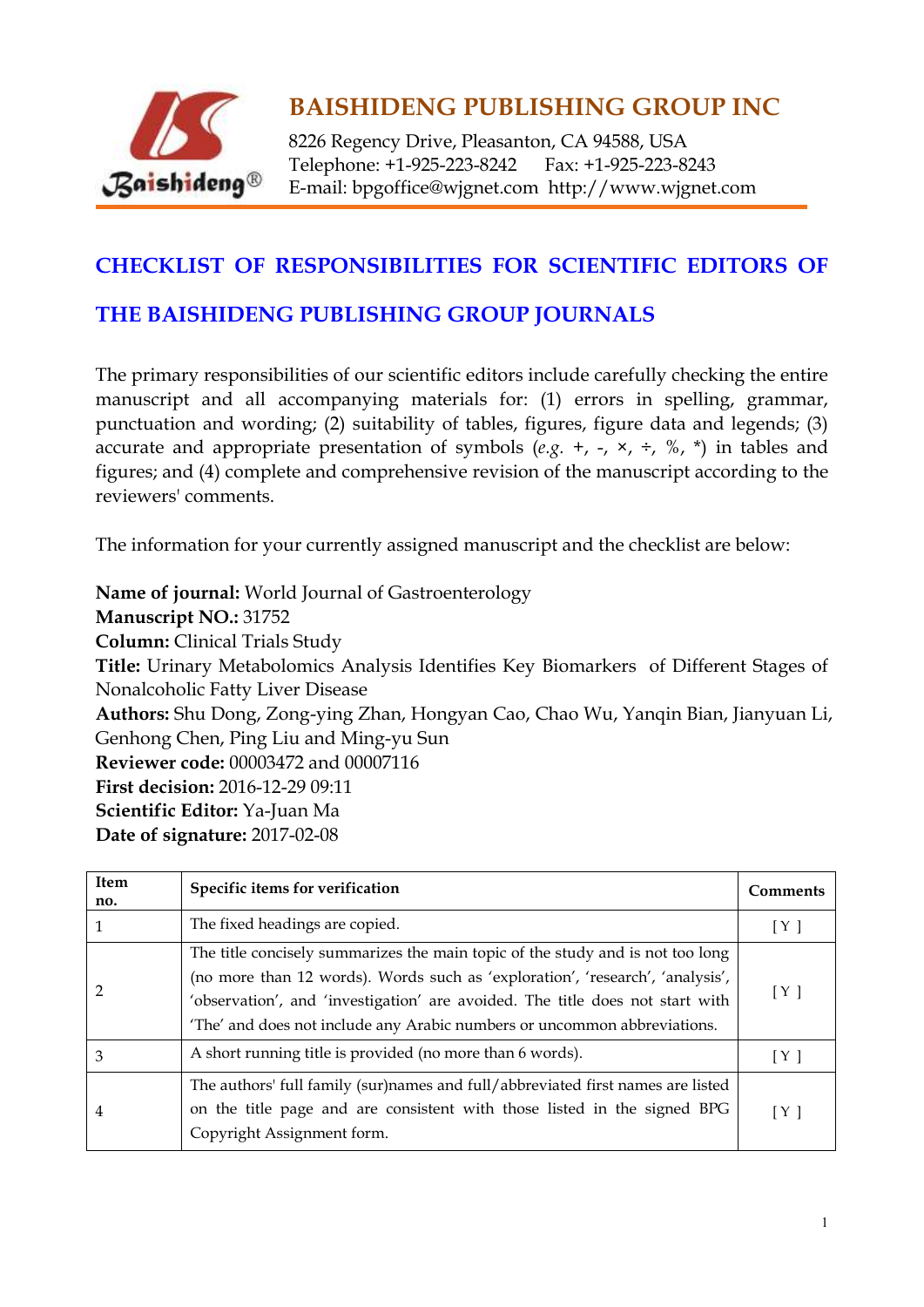

8226 Regency Drive, Pleasanton, CA 94588, USA Telephone: +1-925-223-8242 Fax: +1-925-223-8243 E-mail: bpgoffice@wjgnet.com http://www.wjgnet.com

#### **CHECKLIST OF RESPONSIBILITIES FOR SCIENTIFIC EDITORS OF**

#### **THE BAISHIDENG PUBLISHING GROUP JOURNALS**

The primary responsibilities of our scientific editors include carefully checking the entire manuscript and all accompanying materials for: (1) errors in spelling, grammar, punctuation and wording; (2) suitability of tables, figures, figure data and legends; (3) accurate and appropriate presentation of symbols  $(e.g. +, -, \times, \div, \%$ ,  $*)$  in tables and figures; and (4) complete and comprehensive revision of the manuscript according to the reviewers' comments.

The information for your currently assigned manuscript and the checklist are below:

**Name of journal:** World Journal of Gastroenterology **Manuscript NO.:** 31752 **Column:** Clinical Trials Study **Title:** Urinary Metabolomics Analysis Identifies Key Biomarkers of Different Stages of Nonalcoholic Fatty Liver Disease **Authors:** Shu Dong, Zong-ying Zhan, Hongyan Cao, Chao Wu, Yanqin Bian, Jianyuan Li, Genhong Chen, Ping Liu and Ming-yu Sun **Reviewer code:** 00003472 and 00007116 **First decision:** 2016-12-29 09:11 **Scientific Editor:** Ya-Juan Ma **Date of signature:** 2017-02-08

| <b>Item</b><br>no. | Specific items for verification                                                                                                                                                                                                                                                                                              | <b>Comments</b> |
|--------------------|------------------------------------------------------------------------------------------------------------------------------------------------------------------------------------------------------------------------------------------------------------------------------------------------------------------------------|-----------------|
|                    | The fixed headings are copied.                                                                                                                                                                                                                                                                                               | [Y]             |
| 2                  | The title concisely summarizes the main topic of the study and is not too long<br>(no more than 12 words). Words such as 'exploration', 'research', 'analysis',<br>'observation', and 'investigation' are avoided. The title does not start with<br>'The' and does not include any Arabic numbers or uncommon abbreviations. | [Y]             |
| 3                  | A short running title is provided (no more than 6 words).                                                                                                                                                                                                                                                                    | [Y]             |
| 4                  | The authors' full family (sur)names and full/abbreviated first names are listed<br>on the title page and are consistent with those listed in the signed BPG<br>Copyright Assignment form.                                                                                                                                    | [Y]             |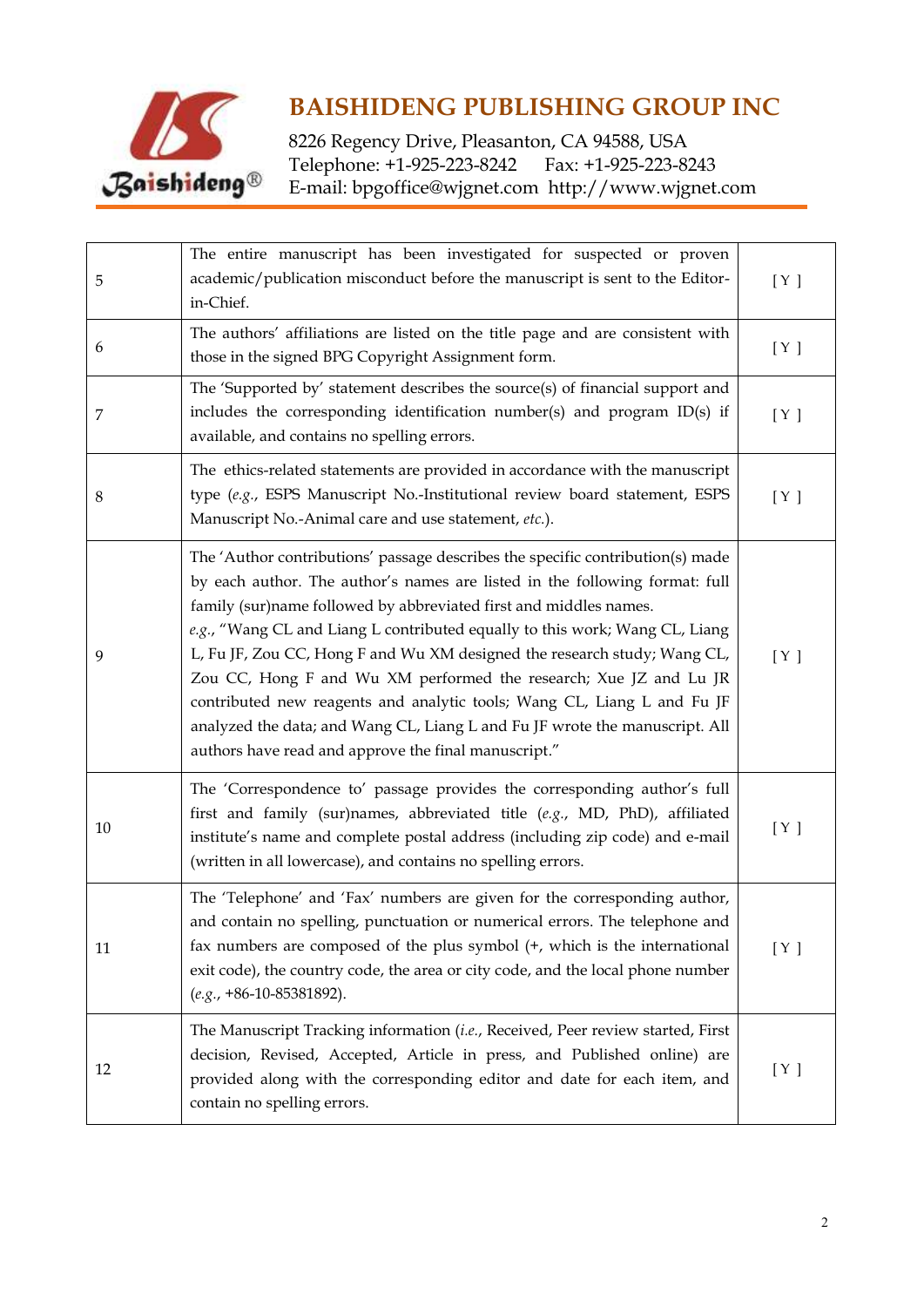

| 5  | The entire manuscript has been investigated for suspected or proven<br>academic/publication misconduct before the manuscript is sent to the Editor-<br>in-Chief.                                                                                                                                                                                                                                                                                                                                                                                                                                                                                                                     | [ Y ] |
|----|--------------------------------------------------------------------------------------------------------------------------------------------------------------------------------------------------------------------------------------------------------------------------------------------------------------------------------------------------------------------------------------------------------------------------------------------------------------------------------------------------------------------------------------------------------------------------------------------------------------------------------------------------------------------------------------|-------|
| 6  | The authors' affiliations are listed on the title page and are consistent with<br>those in the signed BPG Copyright Assignment form.                                                                                                                                                                                                                                                                                                                                                                                                                                                                                                                                                 | [ Y ] |
| 7  | The 'Supported by' statement describes the source(s) of financial support and<br>includes the corresponding identification number(s) and program ID(s) if<br>available, and contains no spelling errors.                                                                                                                                                                                                                                                                                                                                                                                                                                                                             | [ Y ] |
| 8  | The ethics-related statements are provided in accordance with the manuscript<br>type (e.g., ESPS Manuscript No.-Institutional review board statement, ESPS<br>Manuscript No.-Animal care and use statement, etc.).                                                                                                                                                                                                                                                                                                                                                                                                                                                                   | [ Y ] |
| 9  | The 'Author contributions' passage describes the specific contribution(s) made<br>by each author. The author's names are listed in the following format: full<br>family (sur)name followed by abbreviated first and middles names.<br>e.g., "Wang CL and Liang L contributed equally to this work; Wang CL, Liang<br>L, Fu JF, Zou CC, Hong F and Wu XM designed the research study; Wang CL,<br>Zou CC, Hong F and Wu XM performed the research; Xue JZ and Lu JR<br>contributed new reagents and analytic tools; Wang CL, Liang L and Fu JF<br>analyzed the data; and Wang CL, Liang L and Fu JF wrote the manuscript. All<br>authors have read and approve the final manuscript." | [ Y ] |
| 10 | The 'Correspondence to' passage provides the corresponding author's full<br>first and family (sur)names, abbreviated title (e.g., MD, PhD), affiliated<br>institute's name and complete postal address (including zip code) and e-mail<br>(written in all lowercase), and contains no spelling errors.                                                                                                                                                                                                                                                                                                                                                                               | [ Y ] |
| 11 | The 'Telephone' and 'Fax' numbers are given for the corresponding author,<br>and contain no spelling, punctuation or numerical errors. The telephone and<br>fax numbers are composed of the plus symbol (+, which is the international<br>exit code), the country code, the area or city code, and the local phone number<br>$(e.g., +86-10-85381892).$                                                                                                                                                                                                                                                                                                                              | [ Y ] |
| 12 | The Manuscript Tracking information (i.e., Received, Peer review started, First<br>decision, Revised, Accepted, Article in press, and Published online) are<br>provided along with the corresponding editor and date for each item, and<br>contain no spelling errors.                                                                                                                                                                                                                                                                                                                                                                                                               | [ Y ] |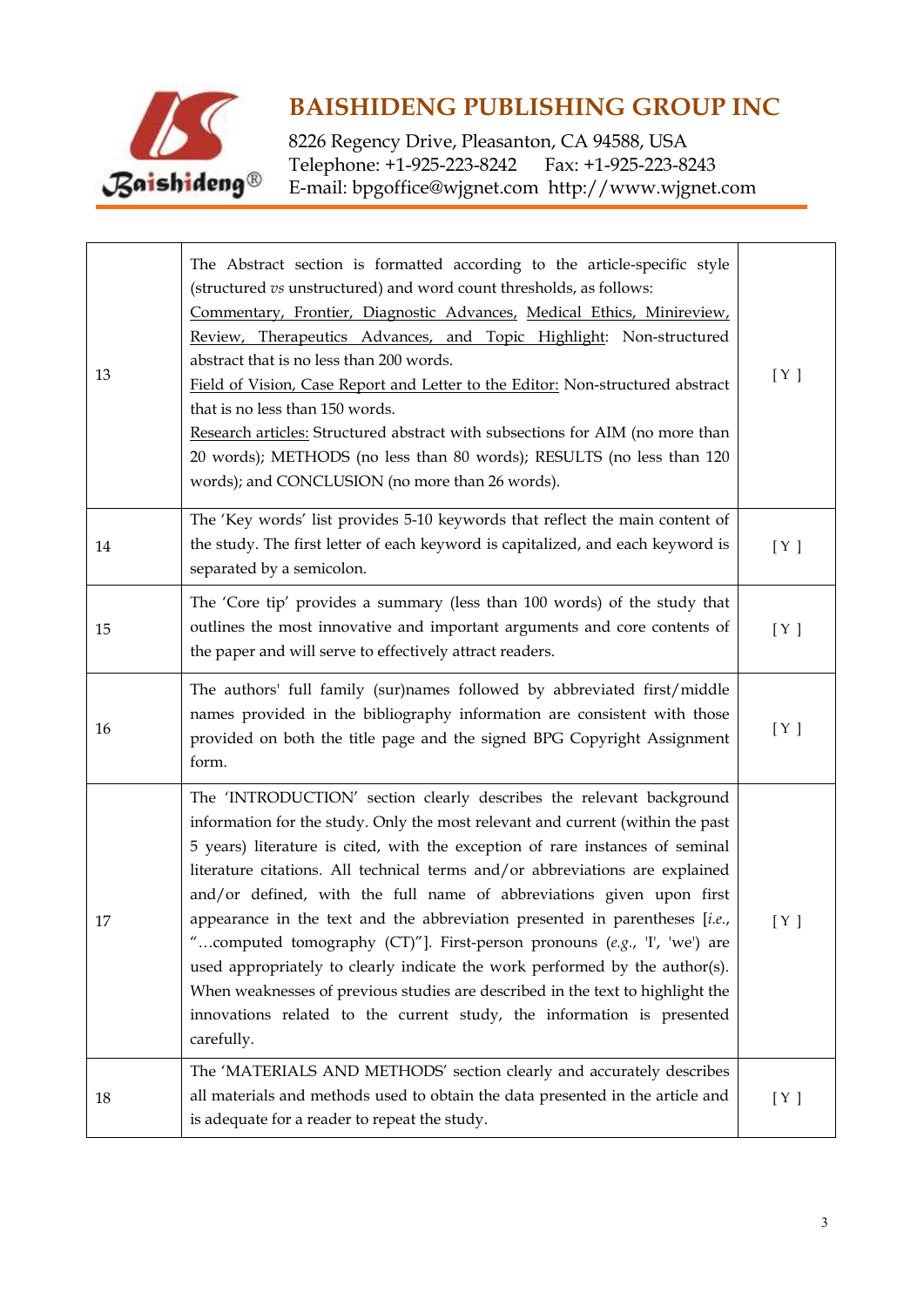

| 13 | The Abstract section is formatted according to the article-specific style<br>(structured vs unstructured) and word count thresholds, as follows:<br>Commentary, Frontier, Diagnostic Advances, Medical Ethics, Minireview,<br>Review, Therapeutics Advances, and Topic Highlight: Non-structured<br>abstract that is no less than 200 words.<br>Field of Vision, Case Report and Letter to the Editor: Non-structured abstract<br>that is no less than 150 words.<br>Research articles: Structured abstract with subsections for AIM (no more than<br>20 words); METHODS (no less than 80 words); RESULTS (no less than 120<br>words); and CONCLUSION (no more than 26 words).                                                                                                                                     | [ Y ] |
|----|--------------------------------------------------------------------------------------------------------------------------------------------------------------------------------------------------------------------------------------------------------------------------------------------------------------------------------------------------------------------------------------------------------------------------------------------------------------------------------------------------------------------------------------------------------------------------------------------------------------------------------------------------------------------------------------------------------------------------------------------------------------------------------------------------------------------|-------|
| 14 | The 'Key words' list provides 5-10 keywords that reflect the main content of<br>the study. The first letter of each keyword is capitalized, and each keyword is<br>separated by a semicolon.                                                                                                                                                                                                                                                                                                                                                                                                                                                                                                                                                                                                                       | [ Y ] |
| 15 | The 'Core tip' provides a summary (less than 100 words) of the study that<br>outlines the most innovative and important arguments and core contents of<br>the paper and will serve to effectively attract readers.                                                                                                                                                                                                                                                                                                                                                                                                                                                                                                                                                                                                 | [ Y ] |
| 16 | The authors' full family (sur)names followed by abbreviated first/middle<br>names provided in the bibliography information are consistent with those<br>provided on both the title page and the signed BPG Copyright Assignment<br>form.                                                                                                                                                                                                                                                                                                                                                                                                                                                                                                                                                                           | [ Y ] |
| 17 | The 'INTRODUCTION' section clearly describes the relevant background<br>information for the study. Only the most relevant and current (within the past<br>5 years) literature is cited, with the exception of rare instances of seminal<br>literature citations. All technical terms and/or abbreviations are explained<br>and/or defined, with the full name of abbreviations given upon first<br>appearance in the text and the abbreviation presented in parentheses [i.e.,<br>computed tomography (CT)"]. First-person pronouns (e.g., 'I', 'we') are<br>used appropriately to clearly indicate the work performed by the author(s).<br>When weaknesses of previous studies are described in the text to highlight the<br>innovations related to the current study, the information is presented<br>carefully. | [ Y ] |
| 18 | The 'MATERIALS AND METHODS' section clearly and accurately describes<br>all materials and methods used to obtain the data presented in the article and<br>is adequate for a reader to repeat the study.                                                                                                                                                                                                                                                                                                                                                                                                                                                                                                                                                                                                            | [ Y ] |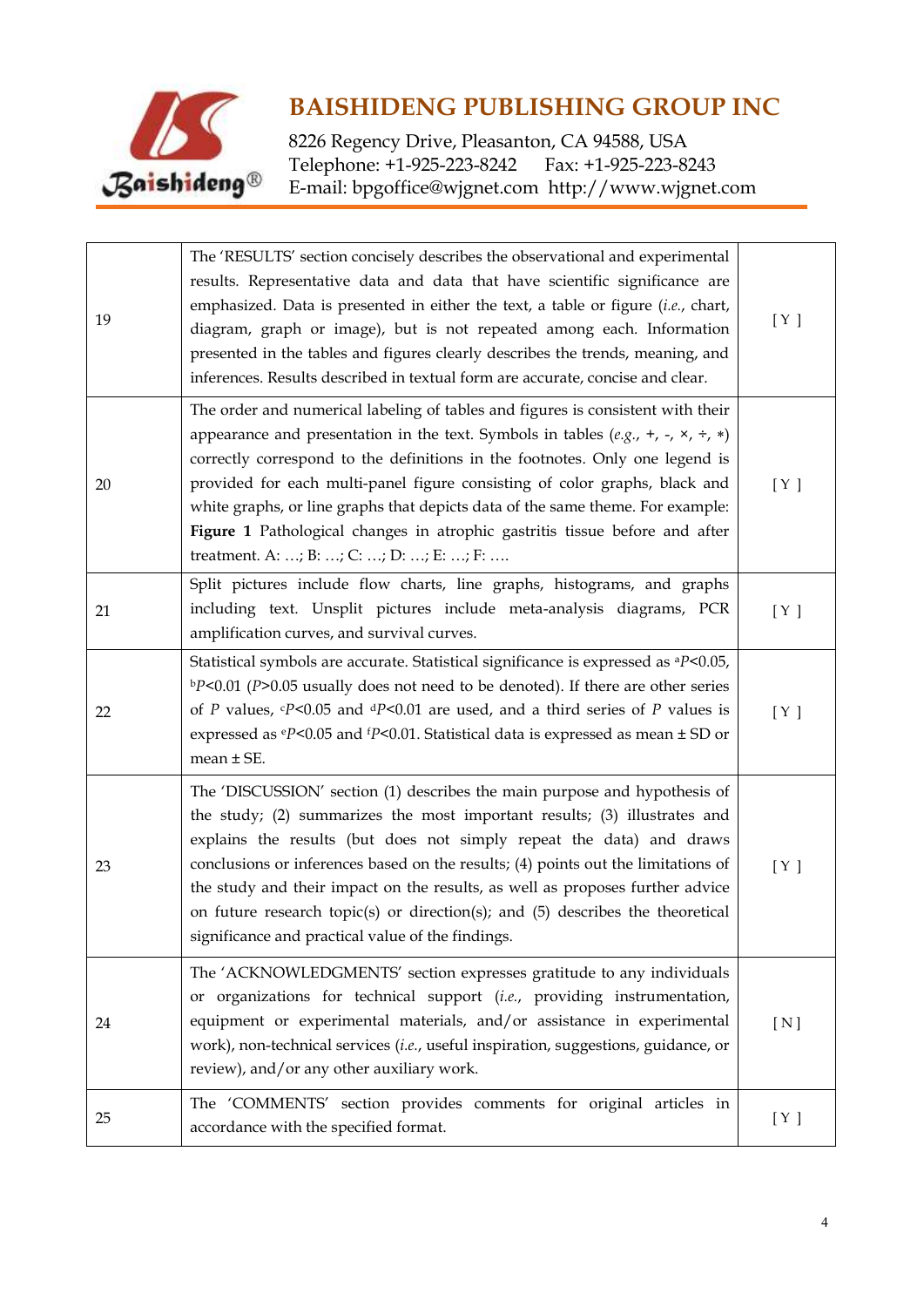

| 19 | The 'RESULTS' section concisely describes the observational and experimental<br>results. Representative data and data that have scientific significance are<br>emphasized. Data is presented in either the text, a table or figure (i.e., chart,<br>diagram, graph or image), but is not repeated among each. Information<br>presented in the tables and figures clearly describes the trends, meaning, and<br>inferences. Results described in textual form are accurate, concise and clear.                                                              | [ Y ] |
|----|------------------------------------------------------------------------------------------------------------------------------------------------------------------------------------------------------------------------------------------------------------------------------------------------------------------------------------------------------------------------------------------------------------------------------------------------------------------------------------------------------------------------------------------------------------|-------|
| 20 | The order and numerical labeling of tables and figures is consistent with their<br>appearance and presentation in the text. Symbols in tables (e.g., +, -, $\times$ , $\div$ , *)<br>correctly correspond to the definitions in the footnotes. Only one legend is<br>provided for each multi-panel figure consisting of color graphs, black and<br>white graphs, or line graphs that depicts data of the same theme. For example:<br>Figure 1 Pathological changes in atrophic gastritis tissue before and after<br>treatment. A: ; B: ; C: ; D: ; E: ; F: | [ Y ] |
| 21 | Split pictures include flow charts, line graphs, histograms, and graphs<br>including text. Unsplit pictures include meta-analysis diagrams, PCR<br>amplification curves, and survival curves.                                                                                                                                                                                                                                                                                                                                                              | [ Y ] |
| 22 | Statistical symbols are accurate. Statistical significance is expressed as <sup>a</sup> P<0.05,<br>$bP<0.01$ (P>0.05 usually does not need to be denoted). If there are other series<br>of P values, $\epsilon P$ <0.05 and $\epsilon P$ <0.01 are used, and a third series of P values is<br>expressed as $\epsilon P$ <0.05 and $\epsilon P$ <0.01. Statistical data is expressed as mean $\pm$ SD or<br>mean $\pm$ SE.                                                                                                                                  | [ Y ] |
| 23 | The 'DISCUSSION' section (1) describes the main purpose and hypothesis of<br>the study; (2) summarizes the most important results; (3) illustrates and<br>explains the results (but does not simply repeat the data) and draws<br>conclusions or inferences based on the results; (4) points out the limitations of<br>the study and their impact on the results, as well as proposes further advice<br>on future research topic(s) or direction(s); and (5) describes the theoretical<br>significance and practical value of the findings.                | [ Y ] |
| 24 | The 'ACKNOWLEDGMENTS' section expresses gratitude to any individuals<br>or organizations for technical support (i.e., providing instrumentation,<br>equipment or experimental materials, and/or assistance in experimental<br>work), non-technical services (i.e., useful inspiration, suggestions, guidance, or<br>review), and/or any other auxiliary work.                                                                                                                                                                                              | [ N ] |
| 25 | The 'COMMENTS' section provides comments for original articles in<br>accordance with the specified format.                                                                                                                                                                                                                                                                                                                                                                                                                                                 | [ Y ] |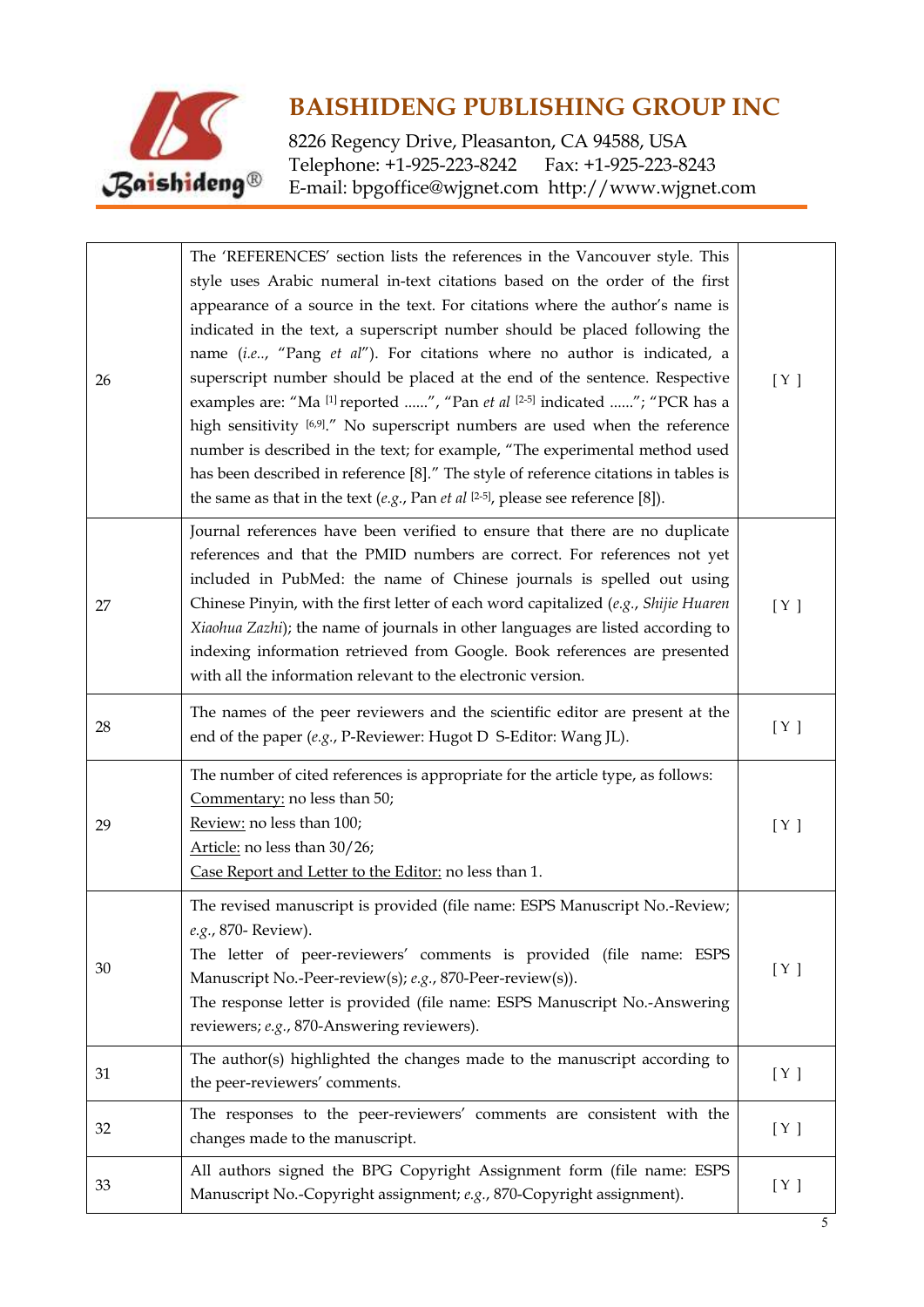

| 26 | The 'REFERENCES' section lists the references in the Vancouver style. This<br>style uses Arabic numeral in-text citations based on the order of the first<br>appearance of a source in the text. For citations where the author's name is<br>indicated in the text, a superscript number should be placed following the<br>name (i.e, "Pang et al"). For citations where no author is indicated, a<br>superscript number should be placed at the end of the sentence. Respective<br>examples are: "Ma [1] reported ", "Pan et al [2-5] indicated "; "PCR has a<br>high sensitivity [6,9]." No superscript numbers are used when the reference<br>number is described in the text; for example, "The experimental method used<br>has been described in reference [8]." The style of reference citations in tables is<br>the same as that in the text $(e.g., Pan et al [2-5], please see reference [8]).$ | [ Y ] |
|----|----------------------------------------------------------------------------------------------------------------------------------------------------------------------------------------------------------------------------------------------------------------------------------------------------------------------------------------------------------------------------------------------------------------------------------------------------------------------------------------------------------------------------------------------------------------------------------------------------------------------------------------------------------------------------------------------------------------------------------------------------------------------------------------------------------------------------------------------------------------------------------------------------------|-------|
| 27 | Journal references have been verified to ensure that there are no duplicate<br>references and that the PMID numbers are correct. For references not yet<br>included in PubMed: the name of Chinese journals is spelled out using<br>Chinese Pinyin, with the first letter of each word capitalized (e.g., Shijie Huaren<br>Xiaohua Zazhi); the name of journals in other languages are listed according to<br>indexing information retrieved from Google. Book references are presented<br>with all the information relevant to the electronic version.                                                                                                                                                                                                                                                                                                                                                  | [ Y ] |
| 28 | The names of the peer reviewers and the scientific editor are present at the<br>end of the paper (e.g., P-Reviewer: Hugot D S-Editor: Wang JL).                                                                                                                                                                                                                                                                                                                                                                                                                                                                                                                                                                                                                                                                                                                                                          | [ Y ] |
| 29 | The number of cited references is appropriate for the article type, as follows:<br>Commentary: no less than 50;<br>Review: no less than 100;<br>Article: no less than 30/26;<br>Case Report and Letter to the Editor: no less than 1.                                                                                                                                                                                                                                                                                                                                                                                                                                                                                                                                                                                                                                                                    | [ Y ] |
| 30 | The revised manuscript is provided (file name: ESPS Manuscript No.-Review;<br>e.g., 870- Review).<br>The letter of peer-reviewers' comments is provided (file name: ESPS<br>Manuscript No.-Peer-review(s); e.g., 870-Peer-review(s)).<br>The response letter is provided (file name: ESPS Manuscript No.-Answering<br>reviewers; e.g., 870-Answering reviewers).                                                                                                                                                                                                                                                                                                                                                                                                                                                                                                                                         | [ Y ] |
| 31 | The author(s) highlighted the changes made to the manuscript according to<br>the peer-reviewers' comments.                                                                                                                                                                                                                                                                                                                                                                                                                                                                                                                                                                                                                                                                                                                                                                                               | [ Y ] |
| 32 | The responses to the peer-reviewers' comments are consistent with the<br>changes made to the manuscript.                                                                                                                                                                                                                                                                                                                                                                                                                                                                                                                                                                                                                                                                                                                                                                                                 | [ Y ] |
| 33 | All authors signed the BPG Copyright Assignment form (file name: ESPS<br>Manuscript No.-Copyright assignment; e.g., 870-Copyright assignment).                                                                                                                                                                                                                                                                                                                                                                                                                                                                                                                                                                                                                                                                                                                                                           | [ Y ] |